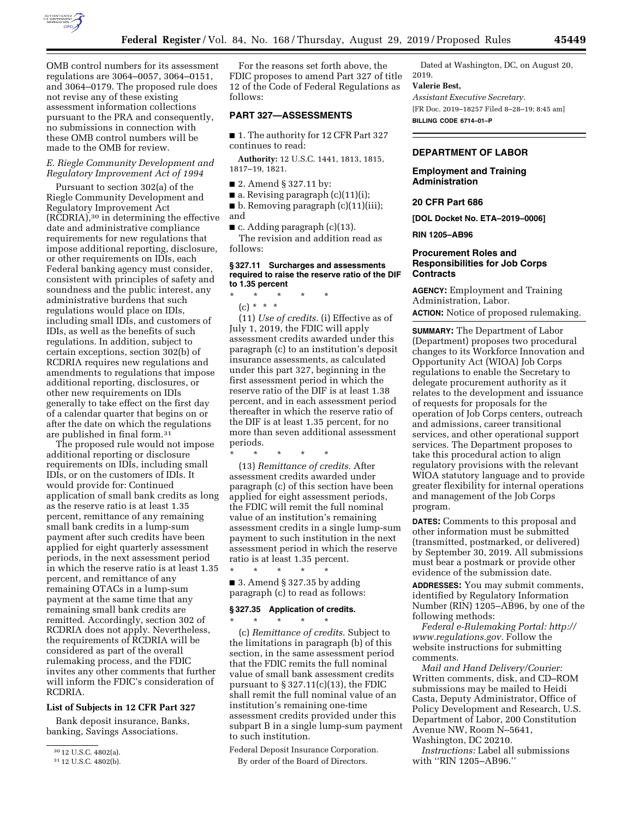

OMB control numbers for its assessment regulations are 3064–0057, 3064–0151, and 3064–0179. The proposed rule does not revise any of these existing assessment information collections pursuant to the PRA and consequently, no submissions in connection with these OMB control numbers will be made to the OMB for review.

# *E. Riegle Community Development and Regulatory Improvement Act of 1994*

Pursuant to section 302(a) of the Riegle Community Development and Regulatory Improvement Act (RCDRIA),30 in determining the effective date and administrative compliance requirements for new regulations that impose additional reporting, disclosure, or other requirements on IDIs, each Federal banking agency must consider, consistent with principles of safety and soundness and the public interest, any administrative burdens that such regulations would place on IDIs, including small IDIs, and customers of IDIs, as well as the benefits of such regulations. In addition, subject to certain exceptions, section 302(b) of RCDRIA requires new regulations and amendments to regulations that impose additional reporting, disclosures, or other new requirements on IDIs generally to take effect on the first day of a calendar quarter that begins on or after the date on which the regulations are published in final form.31

The proposed rule would not impose additional reporting or disclosure requirements on IDIs, including small IDIs, or on the customers of IDIs. It would provide for: Continued application of small bank credits as long as the reserve ratio is at least 1.35 percent, remittance of any remaining small bank credits in a lump-sum payment after such credits have been applied for eight quarterly assessment periods, in the next assessment period in which the reserve ratio is at least 1.35 percent, and remittance of any remaining OTACs in a lump-sum payment at the same time that any remaining small bank credits are remitted. Accordingly, section 302 of RCDRIA does not apply. Nevertheless, the requirements of RCDRIA will be considered as part of the overall rulemaking process, and the FDIC invites any other comments that further will inform the FDIC's consideration of RCDRIA.

## **List of Subjects in 12 CFR Part 327**

Bank deposit insurance, Banks, banking, Savings Associations.

For the reasons set forth above, the FDIC proposes to amend Part 327 of title 12 of the Code of Federal Regulations as follows:

## **PART 327—ASSESSMENTS**

■ 1. The authority for 12 CFR Part 327 continues to read:

**Authority:** 12 U.S.C. 1441, 1813, 1815, 1817–19, 1821.

■ 2. Amend § 327.11 by:

 $\blacksquare$  a. Revising paragraph  $(c)(11)(i);$ 

■ b. Removing paragraph (c)(11)(iii); and

■ c. Adding paragraph (c)(13). The revision and addition read as follows:

### **§ 327.11 Surcharges and assessments required to raise the reserve ratio of the DIF to 1.35 percent**

\* \* \* \* \*

(c) \* \* \*

(11) *Use of credits.* (i) Effective as of July 1, 2019, the FDIC will apply assessment credits awarded under this paragraph (c) to an institution's deposit insurance assessments, as calculated under this part 327, beginning in the first assessment period in which the reserve ratio of the DIF is at least 1.38 percent, and in each assessment period thereafter in which the reserve ratio of the DIF is at least 1.35 percent, for no more than seven additional assessment periods.

\* \* \* \* \*

(13) *Remittance of credits.* After assessment credits awarded under paragraph (c) of this section have been applied for eight assessment periods, the FDIC will remit the full nominal value of an institution's remaining assessment credits in a single lump-sum payment to such institution in the next assessment period in which the reserve ratio is at least 1.35 percent.

\* \* \* \* \*  $\blacksquare$  3. Amend § 327.35 by adding paragraph (c) to read as follows:

# **§ 327.35 Application of credits.**

\* \* \* \* \* (c) *Remittance of credits.* Subject to the limitations in paragraph (b) of this section, in the same assessment period that the FDIC remits the full nominal value of small bank assessment credits pursuant to  $\S 327.11(c)(13)$ , the FDIC shall remit the full nominal value of an institution's remaining one-time assessment credits provided under this subpart B in a single lump-sum payment to such institution.

Federal Deposit Insurance Corporation. By order of the Board of Directors.

Dated at Washington, DC, on August 20, 2019.

### **Valerie Best,**

*Assistant Executive Secretary.*  [FR Doc. 2019–18257 Filed 8–28–19; 8:45 am] **BILLING CODE 6714–01–P** 

# **DEPARTMENT OF LABOR**

## **Employment and Training Administration**

### **20 CFR Part 686**

**[DOL Docket No. ETA–2019–0006]** 

**RIN 1205–AB96** 

## **Procurement Roles and Responsibilities for Job Corps Contracts**

**AGENCY:** Employment and Training Administration, Labor.

**ACTION:** Notice of proposed rulemaking.

**SUMMARY:** The Department of Labor (Department) proposes two procedural changes to its Workforce Innovation and Opportunity Act (WIOA) Job Corps regulations to enable the Secretary to delegate procurement authority as it relates to the development and issuance of requests for proposals for the operation of Job Corps centers, outreach and admissions, career transitional services, and other operational support services. The Department proposes to take this procedural action to align regulatory provisions with the relevant WIOA statutory language and to provide greater flexibility for internal operations and management of the Job Corps program.

**DATES:** Comments to this proposal and other information must be submitted (transmitted, postmarked, or delivered) by September 30, 2019. All submissions must bear a postmark or provide other evidence of the submission date.

**ADDRESSES:** You may submit comments, identified by Regulatory Information Number (RIN) 1205–AB96, by one of the following methods:

*Federal e-Rulemaking Portal: [http://](http://www.regulations.gov) [www.regulations.gov.](http://www.regulations.gov)* Follow the website instructions for submitting comments.

*Mail and Hand Delivery/Courier:*  Written comments, disk, and CD–ROM submissions may be mailed to Heidi Casta, Deputy Administrator, Office of Policy Development and Research, U.S. Department of Labor, 200 Constitution Avenue NW, Room N–5641, Washington, DC 20210.

*Instructions:* Label all submissions with ''RIN 1205–AB96.''

<sup>30</sup> 12 U.S.C. 4802(a).

<sup>31</sup> 12 U.S.C. 4802(b).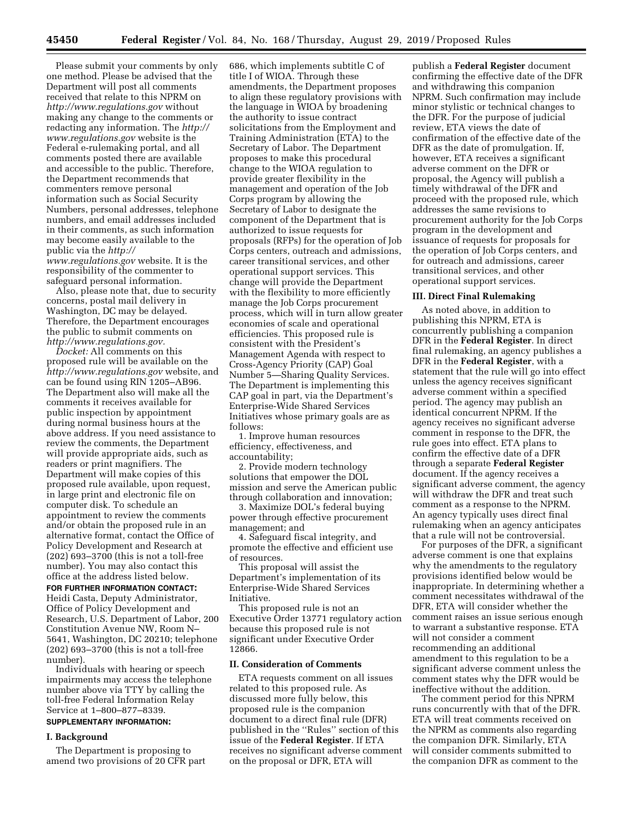Please submit your comments by only one method. Please be advised that the Department will post all comments received that relate to this NPRM on *<http://www.regulations.gov>* without making any change to the comments or redacting any information. The *[http://](http://www.regulations.gov) [www.regulations.gov](http://www.regulations.gov)* website is the Federal e-rulemaking portal, and all comments posted there are available and accessible to the public. Therefore, the Department recommends that commenters remove personal information such as Social Security Numbers, personal addresses, telephone numbers, and email addresses included in their comments, as such information may become easily available to the public via the *[http://](http://www.regulations.gov) [www.regulations.gov](http://www.regulations.gov)* website. It is the responsibility of the commenter to safeguard personal information.

Also, please note that, due to security concerns, postal mail delivery in Washington, DC may be delayed. Therefore, the Department encourages the public to submit comments on *[http://www.regulations.gov.](http://www.regulations.gov)* 

*Docket:* All comments on this proposed rule will be available on the *<http://www.regulations.gov>* website, and can be found using RIN 1205–AB96. The Department also will make all the comments it receives available for public inspection by appointment during normal business hours at the above address. If you need assistance to review the comments, the Department will provide appropriate aids, such as readers or print magnifiers. The Department will make copies of this proposed rule available, upon request, in large print and electronic file on computer disk. To schedule an appointment to review the comments and/or obtain the proposed rule in an alternative format, contact the Office of Policy Development and Research at (202) 693–3700 (this is not a toll-free number). You may also contact this office at the address listed below.

# **FOR FURTHER INFORMATION CONTACT:**

Heidi Casta, Deputy Administrator, Office of Policy Development and Research, U.S. Department of Labor, 200 Constitution Avenue NW, Room N– 5641, Washington, DC 20210; telephone (202) 693–3700 (this is not a toll-free number).

Individuals with hearing or speech impairments may access the telephone number above via TTY by calling the toll-free Federal Information Relay Service at 1–800–877–8339.

# **SUPPLEMENTARY INFORMATION:**

## **I. Background**

The Department is proposing to amend two provisions of 20 CFR part 686, which implements subtitle C of title I of WIOA. Through these amendments, the Department proposes to align these regulatory provisions with the language in WIOA by broadening the authority to issue contract solicitations from the Employment and Training Administration (ETA) to the Secretary of Labor. The Department proposes to make this procedural change to the WIOA regulation to provide greater flexibility in the management and operation of the Job Corps program by allowing the Secretary of Labor to designate the component of the Department that is authorized to issue requests for proposals (RFPs) for the operation of Job Corps centers, outreach and admissions, career transitional services, and other operational support services. This change will provide the Department with the flexibility to more efficiently manage the Job Corps procurement process, which will in turn allow greater economies of scale and operational efficiencies. This proposed rule is consistent with the President's Management Agenda with respect to Cross-Agency Priority (CAP) Goal Number 5—Sharing Quality Services. The Department is implementing this CAP goal in part, via the Department's Enterprise-Wide Shared Services Initiatives whose primary goals are as follows:

1. Improve human resources efficiency, effectiveness, and accountability;

2. Provide modern technology solutions that empower the DOL mission and serve the American public through collaboration and innovation;

3. Maximize DOL's federal buying power through effective procurement management; and

4. Safeguard fiscal integrity, and promote the effective and efficient use of resources.

This proposal will assist the Department's implementation of its Enterprise-Wide Shared Services Initiative.

This proposed rule is not an Executive Order 13771 regulatory action because this proposed rule is not significant under Executive Order 12866.

## **II. Consideration of Comments**

ETA requests comment on all issues related to this proposed rule. As discussed more fully below, this proposed rule is the companion document to a direct final rule (DFR) published in the ''Rules'' section of this issue of the **Federal Register**. If ETA receives no significant adverse comment on the proposal or DFR, ETA will

publish a **Federal Register** document confirming the effective date of the DFR and withdrawing this companion NPRM. Such confirmation may include minor stylistic or technical changes to the DFR. For the purpose of judicial review, ETA views the date of confirmation of the effective date of the DFR as the date of promulgation. If, however, ETA receives a significant adverse comment on the DFR or proposal, the Agency will publish a timely withdrawal of the DFR and proceed with the proposed rule, which addresses the same revisions to procurement authority for the Job Corps program in the development and issuance of requests for proposals for the operation of Job Corps centers, and for outreach and admissions, career transitional services, and other operational support services.

### **III. Direct Final Rulemaking**

As noted above, in addition to publishing this NPRM, ETA is concurrently publishing a companion DFR in the **Federal Register**. In direct final rulemaking, an agency publishes a DFR in the **Federal Register**, with a statement that the rule will go into effect unless the agency receives significant adverse comment within a specified period. The agency may publish an identical concurrent NPRM. If the agency receives no significant adverse comment in response to the DFR, the rule goes into effect. ETA plans to confirm the effective date of a DFR through a separate **Federal Register**  document. If the agency receives a significant adverse comment, the agency will withdraw the DFR and treat such comment as a response to the NPRM. An agency typically uses direct final rulemaking when an agency anticipates that a rule will not be controversial.

For purposes of the DFR, a significant adverse comment is one that explains why the amendments to the regulatory provisions identified below would be inappropriate. In determining whether a comment necessitates withdrawal of the DFR, ETA will consider whether the comment raises an issue serious enough to warrant a substantive response. ETA will not consider a comment recommending an additional amendment to this regulation to be a significant adverse comment unless the comment states why the DFR would be ineffective without the addition.

The comment period for this NPRM runs concurrently with that of the DFR. ETA will treat comments received on the NPRM as comments also regarding the companion DFR. Similarly, ETA will consider comments submitted to the companion DFR as comment to the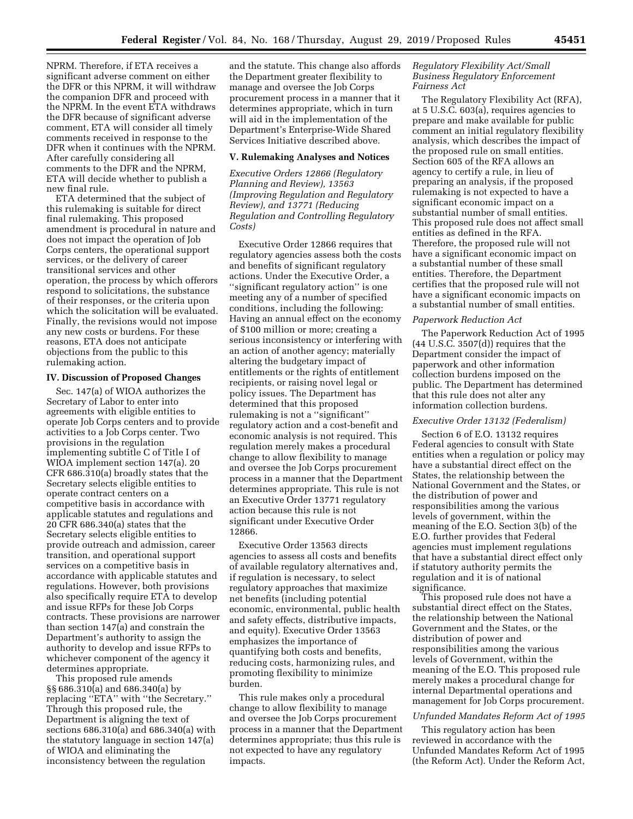NPRM. Therefore, if ETA receives a significant adverse comment on either the DFR or this NPRM, it will withdraw the companion DFR and proceed with the NPRM. In the event ETA withdraws the DFR because of significant adverse comment, ETA will consider all timely comments received in response to the DFR when it continues with the NPRM. After carefully considering all comments to the DFR and the NPRM, ETA will decide whether to publish a new final rule.

ETA determined that the subject of this rulemaking is suitable for direct final rulemaking. This proposed amendment is procedural in nature and does not impact the operation of Job Corps centers, the operational support services, or the delivery of career transitional services and other operation, the process by which offerors respond to solicitations, the substance of their responses, or the criteria upon which the solicitation will be evaluated. Finally, the revisions would not impose any new costs or burdens. For these reasons, ETA does not anticipate objections from the public to this rulemaking action.

### **IV. Discussion of Proposed Changes**

Sec. 147(a) of WIOA authorizes the Secretary of Labor to enter into agreements with eligible entities to operate Job Corps centers and to provide activities to a Job Corps center. Two provisions in the regulation implementing subtitle C of Title I of WIOA implement section 147(a). 20 CFR 686.310(a) broadly states that the Secretary selects eligible entities to operate contract centers on a competitive basis in accordance with applicable statutes and regulations and 20 CFR 686.340(a) states that the Secretary selects eligible entities to provide outreach and admission, career transition, and operational support services on a competitive basis in accordance with applicable statutes and regulations. However, both provisions also specifically require ETA to develop and issue RFPs for these Job Corps contracts. These provisions are narrower than section 147(a) and constrain the Department's authority to assign the authority to develop and issue RFPs to whichever component of the agency it determines appropriate.

This proposed rule amends §§ 686.310(a) and 686.340(a) by replacing ''ETA'' with ''the Secretary.'' Through this proposed rule, the Department is aligning the text of sections 686.310(a) and 686.340(a) with the statutory language in section 147(a) of WIOA and eliminating the inconsistency between the regulation

and the statute. This change also affords the Department greater flexibility to manage and oversee the Job Corps procurement process in a manner that it determines appropriate, which in turn will aid in the implementation of the Department's Enterprise-Wide Shared Services Initiative described above.

#### **V. Rulemaking Analyses and Notices**

*Executive Orders 12866 (Regulatory Planning and Review), 13563 (Improving Regulation and Regulatory Review), and 13771 (Reducing Regulation and Controlling Regulatory Costs)* 

Executive Order 12866 requires that regulatory agencies assess both the costs and benefits of significant regulatory actions. Under the Executive Order, a ''significant regulatory action'' is one meeting any of a number of specified conditions, including the following: Having an annual effect on the economy of \$100 million or more; creating a serious inconsistency or interfering with an action of another agency; materially altering the budgetary impact of entitlements or the rights of entitlement recipients, or raising novel legal or policy issues. The Department has determined that this proposed rulemaking is not a ''significant'' regulatory action and a cost-benefit and economic analysis is not required. This regulation merely makes a procedural change to allow flexibility to manage and oversee the Job Corps procurement process in a manner that the Department determines appropriate. This rule is not an Executive Order 13771 regulatory action because this rule is not significant under Executive Order 12866.

Executive Order 13563 directs agencies to assess all costs and benefits of available regulatory alternatives and, if regulation is necessary, to select regulatory approaches that maximize net benefits (including potential economic, environmental, public health and safety effects, distributive impacts, and equity). Executive Order 13563 emphasizes the importance of quantifying both costs and benefits, reducing costs, harmonizing rules, and promoting flexibility to minimize burden.

This rule makes only a procedural change to allow flexibility to manage and oversee the Job Corps procurement process in a manner that the Department determines appropriate; thus this rule is not expected to have any regulatory impacts.

## *Regulatory Flexibility Act/Small Business Regulatory Enforcement Fairness Act*

The Regulatory Flexibility Act (RFA), at 5 U.S.C. 603(a), requires agencies to prepare and make available for public comment an initial regulatory flexibility analysis, which describes the impact of the proposed rule on small entities. Section 605 of the RFA allows an agency to certify a rule, in lieu of preparing an analysis, if the proposed rulemaking is not expected to have a significant economic impact on a substantial number of small entities. This proposed rule does not affect small entities as defined in the RFA. Therefore, the proposed rule will not have a significant economic impact on a substantial number of these small entities. Therefore, the Department certifies that the proposed rule will not have a significant economic impacts on a substantial number of small entities.

### *Paperwork Reduction Act*

The Paperwork Reduction Act of 1995  $(44 \text{ U.S.C. } 3507(d))$  requires that the Department consider the impact of paperwork and other information collection burdens imposed on the public. The Department has determined that this rule does not alter any information collection burdens.

# *Executive Order 13132 (Federalism)*

Section 6 of E.O. 13132 requires Federal agencies to consult with State entities when a regulation or policy may have a substantial direct effect on the States, the relationship between the National Government and the States, or the distribution of power and responsibilities among the various levels of government, within the meaning of the E.O. Section 3(b) of the E.O. further provides that Federal agencies must implement regulations that have a substantial direct effect only if statutory authority permits the regulation and it is of national significance.

This proposed rule does not have a substantial direct effect on the States, the relationship between the National Government and the States, or the distribution of power and responsibilities among the various levels of Government, within the meaning of the E.O. This proposed rule merely makes a procedural change for internal Departmental operations and management for Job Corps procurement.

### *Unfunded Mandates Reform Act of 1995*

This regulatory action has been reviewed in accordance with the Unfunded Mandates Reform Act of 1995 (the Reform Act). Under the Reform Act,